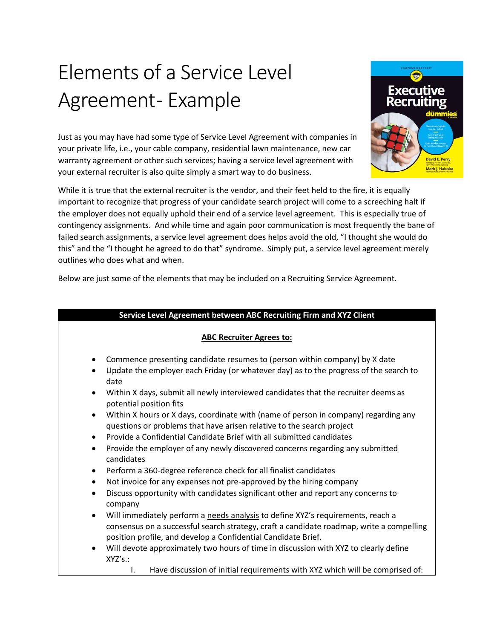## Elements of a Service Level Agreement - Example

Just as you may have had some type of Service Level Agreement with companies in your private life, i.e., your cable company, residential lawn maintenance, new car warranty agreement or other such services; having a service level agreement with your external recruiter is also quite simply a smart way to do business.

While it is true that the external recruiter is the vendor, and their feet held to the fire, it is equally important to recognize that progress of your candidate search project will come to a screeching halt if the employer does not equally uphold their end of a service level agreement. This is especially true of contingency assignments. And while time and again poor communication is most frequently the bane of failed search assignments, a service level agreement does helps avoid the old, "I thought she would do this" and the "I thought he agreed to do that" syndrome. Simply put, a service level agreement merely outlines who does what and when.

Below are just some of the elements that may be included on a Recruiting Service Agreement.

## **Service Level Agreement between ABC Recruiting Firm and XYZ Client**

## **ABC Recruiter Agrees to:**

- Commence presenting candidate resumes to (person within company) by X date
- Update the employer each Friday (or whatever day) as to the progress of the search to date
- Within X days, submit all newly interviewed candidates that the recruiter deems as potential position fits
- Within X hours or X days, coordinate with (name of person in company) regarding any questions or problems that have arisen relative to the search project
- Provide a Confidential Candidate Brief with all submitted candidates
- Provide the employer of any newly discovered concerns regarding any submitted candidates
- Perform a 360-degree reference check for all finalist candidates
- Not invoice for any expenses not pre-approved by the hiring company
- Discuss opportunity with candidates significant other and report any concerns to company
- Will immediately perform a needs analysis to define XYZ's requirements, reach a consensus on a successful search strategy, craft a candidate roadmap, write a compelling position profile, and develop a Confidential Candidate Brief.
- Will devote approximately two hours of time in discussion with XYZ to clearly define XYZ's.:
	- I. Have discussion of initial requirements with XYZ which will be comprised of:

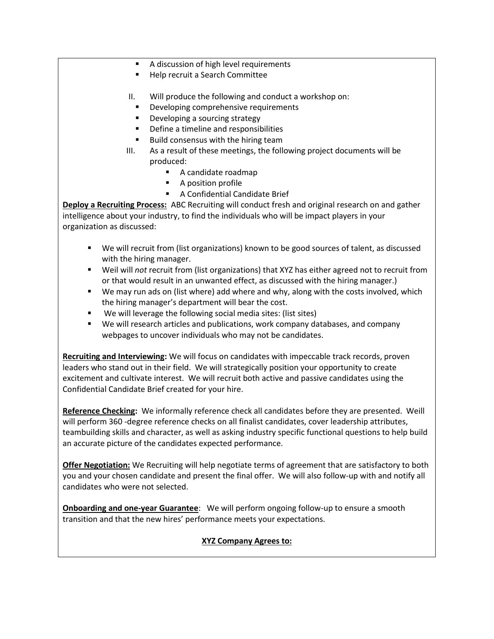- A discussion of high level requirements
- Help recruit a Search Committee
- II. Will produce the following and conduct a workshop on:
	- Developing comprehensive requirements
	- Developing a sourcing strategy
	- Define a timeline and responsibilities
	- Build consensus with the hiring team
- III. As a result of these meetings, the following project documents will be produced:
	- A candidate roadmap
	- A position profile
	- A Confidential Candidate Brief

**Deploy a Recruiting Process:** ABC Recruiting will conduct fresh and original research on and gather intelligence about your industry, to find the individuals who will be impact players in your organization as discussed:

- We will recruit from (list organizations) known to be good sources of talent, as discussed with the hiring manager.
- Weil will *not* recruit from (list organizations) that XYZ has either agreed not to recruit from or that would result in an unwanted effect, as discussed with the hiring manager.)
- We may run ads on (list where) add where and why, along with the costs involved, which the hiring manager's department will bear the cost.
- We will leverage the following social media sites: (list sites)
- We will research articles and publications, work company databases, and company webpages to uncover individuals who may not be candidates.

**Recruiting and Interviewing:** We will focus on candidates with impeccable track records, proven leaders who stand out in their field. We will strategically position your opportunity to create excitement and cultivate interest. We will recruit both active and passive candidates using the Confidential Candidate Brief created for your hire.

**Reference Checking:** We informally reference check all candidates before they are presented. Weill will perform 360 -degree reference checks on all finalist candidates, cover leadership attributes, teambuilding skills and character, as well as asking industry specific functional questions to help build an accurate picture of the candidates expected performance.

**Offer Negotiation:** We Recruiting will help negotiate terms of agreement that are satisfactory to both you and your chosen candidate and present the final offer. We will also follow-up with and notify all candidates who were not selected.

**Onboarding and one-year Guarantee**: We will perform ongoing follow-up to ensure a smooth transition and that the new hires' performance meets your expectations.

## **XYZ Company Agrees to:**